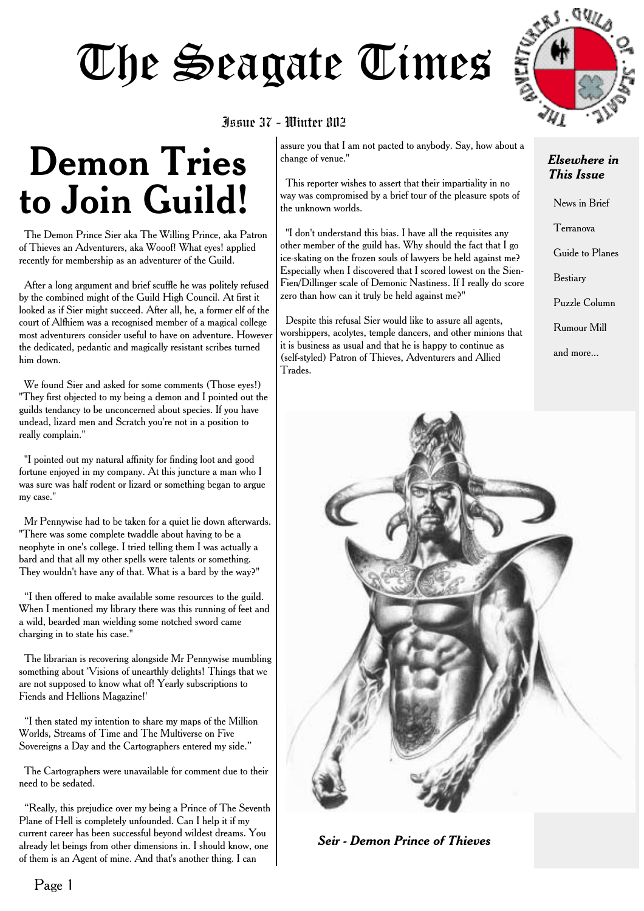# The Seagate Times



#### Issue 37 - Winter 802

# **Demon Tries to Join Guild!**

The Demon Prince Sier aka The Willing Prince, aka Patron of Thieves an Adventurers, aka Wooof! What eyes! applied recently for membership as an adventurer of the Guild.

After a long argument and brief scuffle he was politely refused by the combined might of the Guild High Council. At first it looked as if Sier might succeed. After all, he, a former elf of the court of Alfhiem was a recognised member of a magical college most adventurers consider useful to have on adventure. However the dedicated, pedantic and magically resistant scribes turned him down.

We found Sier and asked for some comments (Those eyes!) "They first objected to my being a demon and I pointed out the guilds tendancy to be unconcerned about species. If you have undead, lizard men and Scratch you're not in a position to really complain."

"I pointed out my natural affinity for finding loot and good fortune enjoyed in my company. At this juncture a man who I was sure was half rodent or lizard or something began to argue my case."

Mr Pennywise had to be taken for a quiet lie down afterwards. "There was some complete twaddle about having to be a neophyte in one's college. I tried telling them I was actually a bard and that all my other spells were talents or something. They wouldn't have any of that. What is a bard by the way?"

"I then offered to make available some resources to the guild. When I mentioned my library there was this running of feet and a wild, bearded man wielding some notched sword came charging in to state his case."

The librarian is recovering alongside Mr Pennywise mumbling something about 'Visions of unearthly delights! Things that we are not supposed to know what of! Yearly subscriptions to Fiends and Hellions Magazine!'

"I then stated my intention to share my maps of the Million Worlds, Streams of Time and The Multiverse on Five Sovereigns a Day and the Cartographers entered my side."

The Cartographers were unavailable for comment due to their need to be sedated.

"Really, this prejudice over my being a Prince of The Seventh Plane of Hell is completely unfounded. Can I help it if my current career has been successful beyond wildest dreams. You already let beings from other dimensions in. I should know, one of them is an Agent of mine. And that's another thing. I can

assure you that I am not pacted to anybody. Say, how about a change of venue."

This reporter wishes to assert that their impartiality in no way was compromised by a brief tour of the pleasure spots of the unknown worlds.

"I don't understand this bias. I have all the requisites any other member of the guild has. Why should the fact that I go ice-skating on the frozen souls of lawyers be held against me? Especially when I discovered that I scored lowest on the Sien-Fien/Dillinger scale of Demonic Nastiness. If I really do score zero than how can it truly be held against me?"

Despite this refusal Sier would like to assure all agents, worshippers, acolytes, temple dancers, and other minions that it is business as usual and that he is happy to continue as (self-styled) Patron of Thieves, Adventurers and Allied Trades.

#### *Elsewhere in This Issue*

News in Brief Terranova Guide to Planes Bestiary Puzzle Column Rumour Mill and more...



*Seir - Demon Prince of Thieves*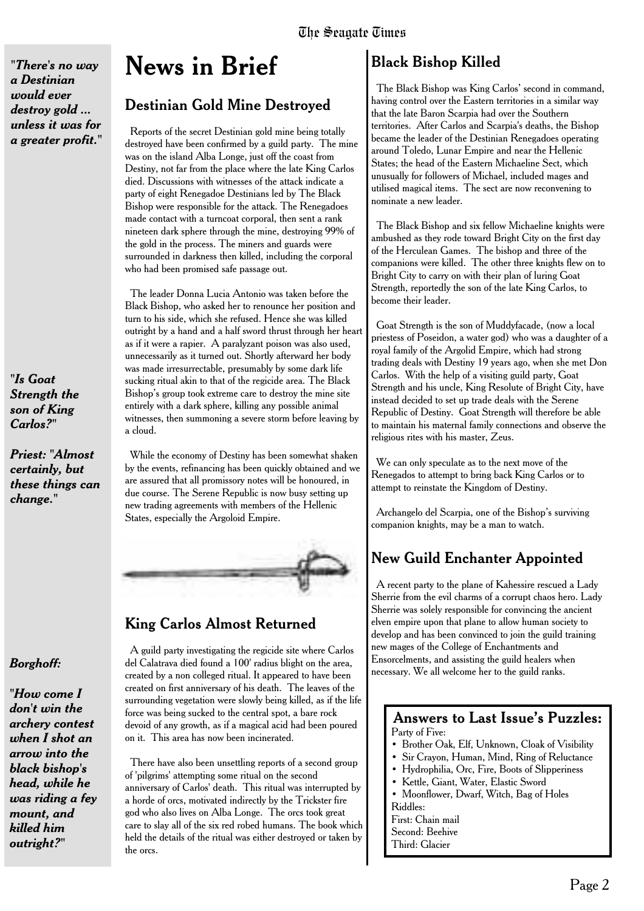*"There's no way a Destinian would ever destroy gold ... unless it was for a greater profit."*

*"Is Goat Strength the son of King Carlos?"*

*Priest: "Almost certainly, but these things can change."*

# **News in Brief**

### Destinian Gold Mine Destroyed

Reports of the secret Destinian gold mine being totally destroyed have been confirmed by a guild party. The mine was on the island Alba Longe, just off the coast from Destiny, not far from the place where the late King Carlos died. Discussions with witnesses of the attack indicate a party of eight Renegadoe Destinians led by The Black Bishop were responsible for the attack. The Renegadoes made contact with a turncoat corporal, then sent a rank nineteen dark sphere through the mine, destroying 99% of the gold in the process. The miners and guards were surrounded in darkness then killed, including the corporal who had been promised safe passage out.

The leader Donna Lucia Antonio was taken before the Black Bishop, who asked her to renounce her position and turn to his side, which she refused. Hence she was killed outright by a hand and a half sword thrust through her heart as if it were a rapier. A paralyzant poison was also used, unnecessarily as it turned out. Shortly afterward her body was made irresurrectable, presumably by some dark life sucking ritual akin to that of the regicide area. The Black Bishop's group took extreme care to destroy the mine site entirely with a dark sphere, killing any possible animal witnesses, then summoning a severe storm before leaving by a cloud.

While the economy of Destiny has been somewhat shaken by the events, refinancing has been quickly obtained and we are assured that all promissory notes will be honoured, in due course. The Serene Republic is now busy setting up new trading agreements with members of the Hellenic States, especially the Argoloid Empire.



# King Carlos Almost Returned

A guild party investigating the regicide site where Carlos del Calatrava died found a 100' radius blight on the area, created by a non colleged ritual. It appeared to have been created on first anniversary of his death. The leaves of the surrounding vegetation were slowly being killed, as if the life force was being sucked to the central spot, a bare rock devoid of any growth, as if a magical acid had been poured on it. This area has now been incinerated.

There have also been unsettling reports of a second group of 'pilgrims' attempting some ritual on the second anniversary of Carlos' death. This ritual was interrupted by a horde of orcs, motivated indirectly by the Trickster fire god who also lives on Alba Longe. The orcs took great care to slay all of the six red robed humans. The book which held the details of the ritual was either destroyed or taken by the orcs.

# Black Bishop Killed

The Black Bishop was King Carlos' second in command, having control over the Eastern territories in a similar way that the late Baron Scarpia had over the Southern territories. After Carlos and Scarpia's deaths, the Bishop became the leader of the Destinian Renegadoes operating around Toledo, Lunar Empire and near the Hellenic States; the head of the Eastern Michaeline Sect, which unusually for followers of Michael, included mages and utilised magical items. The sect are now reconvening to nominate a new leader.

The Black Bishop and six fellow Michaeline knights were ambushed as they rode toward Bright City on the first day of the Herculean Games. The bishop and three of the companions were killed. The other three knights flew on to Bright City to carry on with their plan of luring Goat Strength, reportedly the son of the late King Carlos, to become their leader.

Goat Strength is the son of Muddyfacade, (now a local priestess of Poseidon, a water god) who was a daughter of a royal family of the Argolid Empire, which had strong trading deals with Destiny 19 years ago, when she met Don Carlos. With the help of a visiting guild party, Goat Strength and his uncle, King Resolute of Bright City, have instead decided to set up trade deals with the Serene Republic of Destiny. Goat Strength will therefore be able to maintain his maternal family connections and observe the religious rites with his master, Zeus.

We can only speculate as to the next move of the Renegados to attempt to bring back King Carlos or to attempt to reinstate the Kingdom of Destiny.

Archangelo del Scarpia, one of the Bishop's surviving companion knights, may be a man to watch.

# New Guild Enchanter Appointed

A recent party to the plane of Kahessire rescued a Lady Sherrie from the evil charms of a corrupt chaos hero. Lady Sherrie was solely responsible for convincing the ancient elven empire upon that plane to allow human society to develop and has been convinced to join the guild training new mages of the College of Enchantments and Ensorcelments, and assisting the guild healers when necessary. We all welcome her to the guild ranks.

#### Answers to Last Issue's Puzzles: Party of Five:

- Brother Oak, Elf, Unknown, Cloak of Visibility
- Sir Crayon, Human, Mind, Ring of Reluctance
- Hydrophilia, Orc, Fire, Boots of Slipperiness
- Kettle, Giant, Water, Elastic Sword
- Moonflower, Dwarf, Witch, Bag of Holes Riddles:
- First: Chain mail
- Second: Beehive
- Third: Glacier

### *Borghoff:*

*"How come I don't win the archery contest when I shot an arrow into the black bishop's head, while he was riding a fey mount, and killed him outright?"*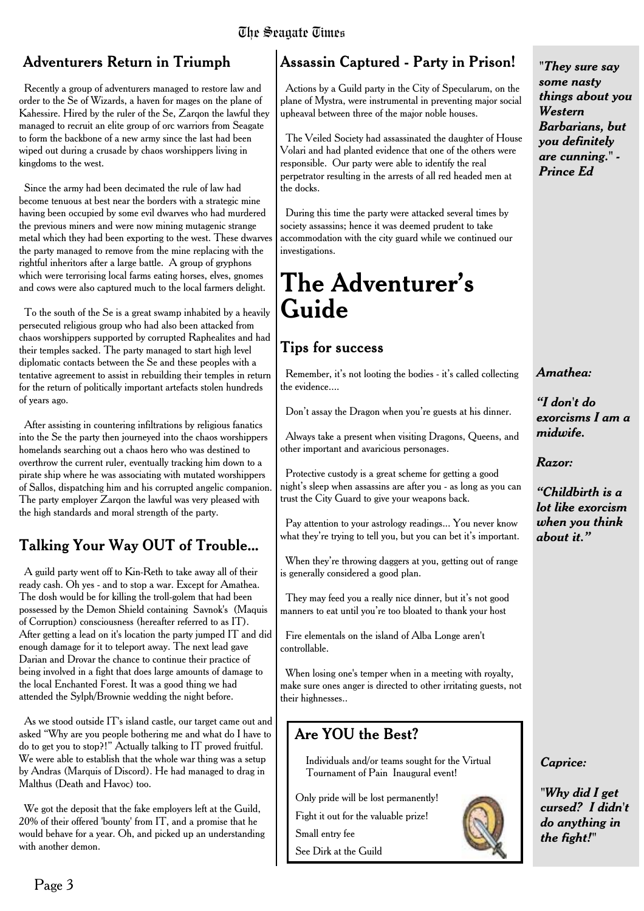#### The Seagate Times

### Adventurers Return in Triumph

Recently a group of adventurers managed to restore law and order to the Se of Wizards, a haven for mages on the plane of Kahessire. Hired by the ruler of the Se, Zarqon the lawful they managed to recruit an elite group of orc warriors from Seagate to form the backbone of a new army since the last had been wiped out during a crusade by chaos worshippers living in kingdoms to the west.

Since the army had been decimated the rule of law had become tenuous at best near the borders with a strategic mine having been occupied by some evil dwarves who had murdered the previous miners and were now mining mutagenic strange metal which they had been exporting to the west. These dwarves the party managed to remove from the mine replacing with the rightful inheritors after a large battle. A group of gryphons which were terrorising local farms eating horses, elves, gnomes and cows were also captured much to the local farmers delight.

To the south of the Se is a great swamp inhabited by a heavily persecuted religious group who had also been attacked from chaos worshippers supported by corrupted Raphealites and had their temples sacked. The party managed to start high level diplomatic contacts between the Se and these peoples with a tentative agreement to assist in rebuilding their temples in return for the return of politically important artefacts stolen hundreds of years ago.

After assisting in countering infiltrations by religious fanatics into the Se the party then journeyed into the chaos worshippers homelands searching out a chaos hero who was destined to overthrow the current ruler, eventually tracking him down to a pirate ship where he was associating with mutated worshippers of Sallos, dispatching him and his corrupted angelic companion. The party employer Zarqon the lawful was very pleased with the high standards and moral strength of the party.

# Talking Your Way OUT of Trouble...

A guild party went off to Kin-Reth to take away all of their ready cash. Oh yes - and to stop a war. Except for Amathea. The dosh would be for killing the troll-golem that had been possessed by the Demon Shield containing Savnok's (Maquis of Corruption) consciousness (hereafter referred to as IT). After getting a lead on it's location the party jumped IT and did enough damage for it to teleport away. The next lead gave Darian and Drovar the chance to continue their practice of being involved in a fight that does large amounts of damage to the local Enchanted Forest. It was a good thing we had attended the Sylph/Brownie wedding the night before.

As we stood outside IT's island castle, our target came out and asked "Why are you people bothering me and what do I have to do to get you to stop?!" Actually talking to IT proved fruitful. We were able to establish that the whole war thing was a setup by Andras (Marquis of Discord). He had managed to drag in Malthus (Death and Havoc) too.

We got the deposit that the fake employers left at the Guild, 20% of their offered 'bounty' from IT, and a promise that he would behave for a year. Oh, and picked up an understanding with another demon.

# Assassin Captured - Party in Prison!

Actions by a Guild party in the City of Specularum, on the plane of Mystra, were instrumental in preventing major social upheaval between three of the major noble houses.

The Veiled Society had assassinated the daughter of House Volari and had planted evidence that one of the others were responsible. Our party were able to identify the real perpetrator resulting in the arrests of all red headed men at the docks.

During this time the party were attacked several times by society assassins; hence it was deemed prudent to take accommodation with the city guard while we continued our investigations.

# **The Adventurer's Guide**

# **Tips for success**

Remember, it's not looting the bodies - it's called collecting the evidence....

Don't assay the Dragon when you're guests at his dinner.

Always take a present when visiting Dragons, Queens, and other important and avaricious personages.

Protective custody is a great scheme for getting a good night's sleep when assassins are after you - as long as you can trust the City Guard to give your weapons back.

Pay attention to your astrology readings... You never know what they're trying to tell you, but you can bet it's important.

When they're throwing daggers at you, getting out of range is generally considered a good plan.

They may feed you a really nice dinner, but it's not good manners to eat until you're too bloated to thank your host

Fire elementals on the island of Alba Longe aren't controllable.

When losing one's temper when in a meeting with royalty, make sure ones anger is directed to other irritating guests, not their highnesses..

# Are YOU the Best?

Individuals and/or teams sought for the Virtual Tournament of Pain Inaugural event!

Only pride will be lost permanently!

Fight it out for the valuable prize!

Small entry fee

See Dirk at the Guild

*"They sure say some nasty things about you Western Barbarians, but you definitely are cunning." - Prince Ed*

#### *Amathea:*

*"I don't do exorcisms I am a midwife.*

*Razor:*

*"Childbirth is a lot like exorcism when you think about it."*

#### *Caprice:*

*"Why did I get cursed? I didn't do anything in the fight!"*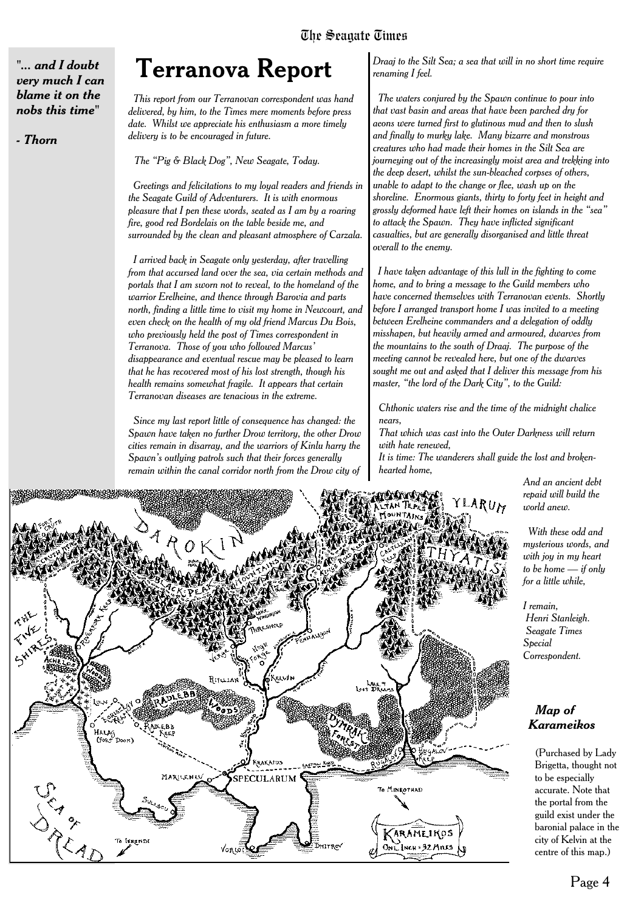*"... and I doubt very much I can blame it on the nobs this time"*

*- Thorn*

# **Terranova Report**

*This report from our Terranovan correspondent was hand delivered, by him, to the Times mere moments before press date. Whilst we appreciate his enthusiasm a more timely delivery is to be encouraged in future.*

*The "Pig & Black Dog", New Seagate, Today.*

*Greetings and felicitations to my loyal readers and friends in the Seagate Guild of Adventurers. It is with enormous pleasure that I pen these words, seated as I am by a roaring fire, good red Bordelais on the table beside me, and surrounded by the clean and pleasant atmosphere of Carzala.*

*I arrived back in Seagate only yesterday, after travelling from that accursed land over the sea, via certain methods and portals that I am sworn not to reveal, to the homeland of the warrior Erelheine, and thence through Barovia and parts north, finding a little time to visit my home in Newcourt, and even check on the health of my old friend Marcus Du Bois, who previously held the post of Times correspondent in Terranova. Those of you who followed Marcus' disappearance and eventual rescue may be pleased to learn that he has recovered most of his lost strength, though his health remains somewhat fragile. It appears that certain Terranovan diseases are tenacious in the extreme.*

*Since my last report little of consequence has changed: the Spawn have taken no further Drow territory, the other Drow cities remain in disarray, and the warriors of Kinlu harry the Spawn's outlying patrols such that their forces generally remain within the canal corridor north from the Drow city of*

*Draaj to the Silt Sea; a sea that will in no short time require renaming I feel.*

*The waters conjured by the Spawn continue to pour into that vast basin and areas that have been parched dry for aeons were turned first to glutinous mud and then to slush and finally to murky lake. Many bizarre and monstrous creatures who had made their homes in the Silt Sea are journeying out of the increasingly moist area and trekking into the deep desert, whilst the sun-bleached corpses of others, unable to adapt to the change or flee, wash up on the shoreline. Enormous giants, thirty to forty feet in height and grossly deformed have left their homes on islands in the "sea" to attack the Spawn. They have inflicted significant casualties, but are generally disorganised and little threat overall to the enemy.*

*I have taken advantage of this lull in the fighting to come home, and to bring a message to the Guild members who have concerned themselves with Terranovan events. Shortly before I arranged transport home I was invited to a meeting between Erelheine commanders and a delegation of oddly misshapen, but heavily armed and armoured, dwarves from the mountains to the south of Draaj. The purpose of the meeting cannot be revealed here, but one of the dwarves sought me out and asked that I deliver this message from his master, "the lord of the Dark City", to the Guild:*

*Chthonic waters rise and the time of the midnight chalice nears,*

*That which was cast into the Outer Darkness will return with hate renewed,*

*It is time: The wanderers shall guide the lost and brokenhearted home,*

> *And an ancient debt repaid will build the world anew.*

*With these odd and mysterious words, and with joy in my heart to be home — if only for a little while,*

*I remain, Henri Stanleigh. Seagate Times Special Correspondent.*

#### *Map of Karameikos*

(Purchased by Lady Brigetta, thought not to be especially accurate. Note that the portal from the guild exist under the baronial palace in the city of Kelvin at the centre of this map.)

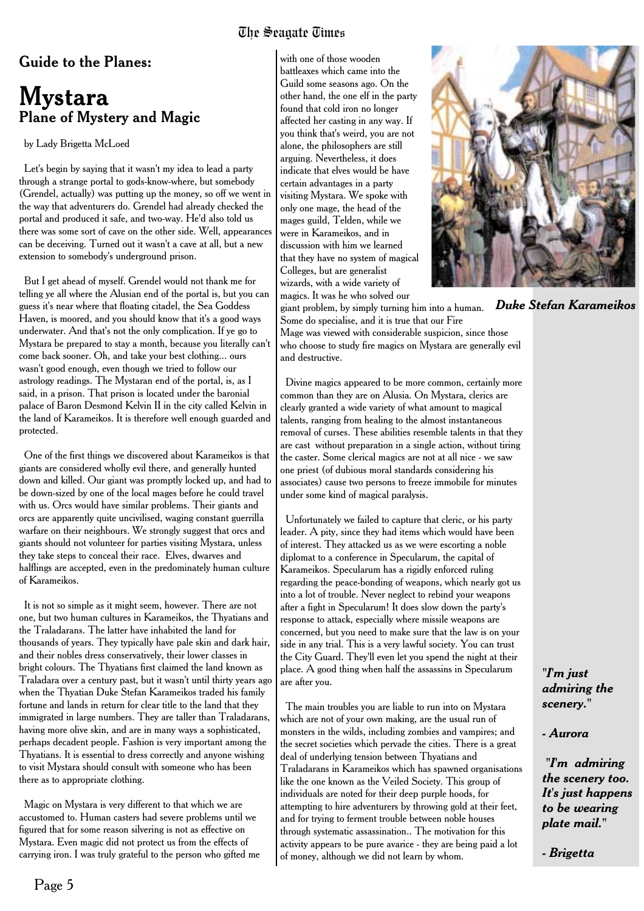#### The Seagate Times

#### Guide to the Planes:

# **Mystara** Plane of Mystery and Magic

by Lady Brigetta McLoed

Let's begin by saying that it wasn't my idea to lead a party through a strange portal to gods-know-where, but somebody (Grendel, actually) was putting up the money, so off we went in the way that adventurers do. Grendel had already checked the portal and produced it safe, and two-way. He'd also told us there was some sort of cave on the other side. Well, appearances can be deceiving. Turned out it wasn't a cave at all, but a new extension to somebody's underground prison.

But I get ahead of myself. Grendel would not thank me for telling ye all where the Alusian end of the portal is, but you can guess it's near where that floating citadel, the Sea Goddess Haven, is moored, and you should know that it's a good ways underwater. And that's not the only complication. If ye go to Mystara be prepared to stay a month, because you literally can't come back sooner. Oh, and take your best clothing... ours wasn't good enough, even though we tried to follow our astrology readings. The Mystaran end of the portal, is, as I said, in a prison. That prison is located under the baronial palace of Baron Desmond Kelvin II in the city called Kelvin in the land of Karameikos. It is therefore well enough guarded and protected.

One of the first things we discovered about Karameikos is that giants are considered wholly evil there, and generally hunted down and killed. Our giant was promptly locked up, and had to be down-sized by one of the local mages before he could travel with us. Orcs would have similar problems. Their giants and orcs are apparently quite uncivilised, waging constant guerrilla warfare on their neighbours. We strongly suggest that orcs and giants should not volunteer for parties visiting Mystara, unless they take steps to conceal their race. Elves, dwarves and halflings are accepted, even in the predominately human culture of Karameikos.

It is not so simple as it might seem, however. There are not one, but two human cultures in Karameikos, the Thyatians and the Traladarans. The latter have inhabited the land for thousands of years. They typically have pale skin and dark hair, and their nobles dress conservatively, their lower classes in bright colours. The Thyatians first claimed the land known as Traladara over a century past, but it wasn't until thirty years ago when the Thyatian Duke Stefan Karameikos traded his family fortune and lands in return for clear title to the land that they immigrated in large numbers. They are taller than Traladarans, having more olive skin, and are in many ways a sophisticated, perhaps decadent people. Fashion is very important among the Thyatians. It is essential to dress correctly and anyone wishing to visit Mystara should consult with someone who has been there as to appropriate clothing.

Magic on Mystara is very different to that which we are accustomed to. Human casters had severe problems until we figured that for some reason silvering is not as effective on Mystara. Even magic did not protect us from the effects of carrying iron. I was truly grateful to the person who gifted me

with one of those wooden battleaxes which came into the Guild some seasons ago. On the other hand, the one elf in the party found that cold iron no longer affected her casting in any way. If you think that's weird, you are not alone, the philosophers are still arguing. Nevertheless, it does indicate that elves would be have certain advantages in a party visiting Mystara. We spoke with only one mage, the head of the mages guild, Telden, while we were in Karameikos, and in discussion with him we learned that they have no system of magical Colleges, but are generalist wizards, with a wide variety of magics. It was he who solved our



*Duke Stefan Karameikos*

giant problem, by simply turning him into a human. Some do specialise, and it is true that our Fire Mage was viewed with considerable suspicion, since those

who choose to study fire magics on Mystara are generally evil and destructive.

Divine magics appeared to be more common, certainly more common than they are on Alusia. On Mystara, clerics are clearly granted a wide variety of what amount to magical talents, ranging from healing to the almost instantaneous removal of curses. These abilities resemble talents in that they are cast without preparation in a single action, without tiring the caster. Some clerical magics are not at all nice - we saw one priest (of dubious moral standards considering his associates) cause two persons to freeze immobile for minutes under some kind of magical paralysis.

Unfortunately we failed to capture that cleric, or his party leader. A pity, since they had items which would have been of interest. They attacked us as we were escorting a noble diplomat to a conference in Specularum, the capital of Karameikos. Specularum has a rigidly enforced ruling regarding the peace-bonding of weapons, which nearly got us into a lot of trouble. Never neglect to rebind your weapons after a fight in Specularum! It does slow down the party's response to attack, especially where missile weapons are concerned, but you need to make sure that the law is on your side in any trial. This is a very lawful society. You can trust the City Guard. They'll even let you spend the night at their place. A good thing when half the assassins in Specularum are after you.

The main troubles you are liable to run into on Mystara which are not of your own making, are the usual run of monsters in the wilds, including zombies and vampires; and the secret societies which pervade the cities. There is a great deal of underlying tension between Thyatians and Traladarans in Karameikos which has spawned organisations like the one known as the Veiled Society. This group of individuals are noted for their deep purple hoods, for attempting to hire adventurers by throwing gold at their feet, and for trying to ferment trouble between noble houses through systematic assassination.. The motivation for this activity appears to be pure avarice - they are being paid a lot of money, although we did not learn by whom.

*"I'm just admiring the scenery."*

*- Aurora*

*"I'm admiring the scenery too. It's just happens to be wearing plate mail."*

*- Brigetta*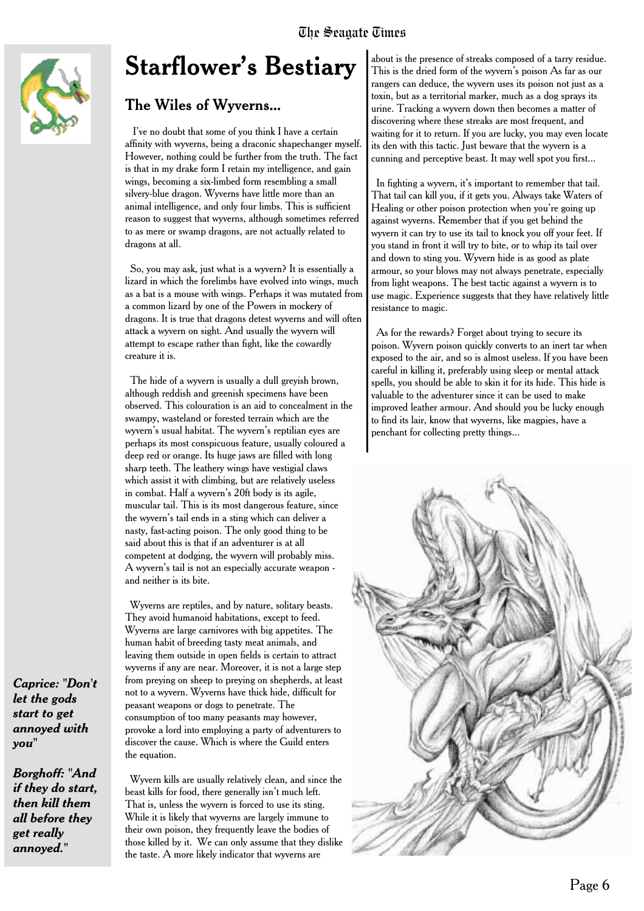

# **Starflower's Bestiary**

### The Wiles of Wyverns...

I've no doubt that some of you think I have a certain affinity with wyverns, being a draconic shapechanger myself. However, nothing could be further from the truth. The fact is that in my drake form I retain my intelligence, and gain wings, becoming a six-limbed form resembling a small silvery-blue dragon. Wyverns have little more than an animal intelligence, and only four limbs. This is sufficient reason to suggest that wyverns, although sometimes referred to as mere or swamp dragons, are not actually related to dragons at all.

So, you may ask, just what is a wyvern? It is essentially a lizard in which the forelimbs have evolved into wings, much as a bat is a mouse with wings. Perhaps it was mutated from a common lizard by one of the Powers in mockery of dragons. It is true that dragons detest wyverns and will often attack a wyvern on sight. And usually the wyvern will attempt to escape rather than fight, like the cowardly creature it is.

The hide of a wyvern is usually a dull greyish brown, although reddish and greenish specimens have been observed. This colouration is an aid to concealment in the swampy, wasteland or forested terrain which are the wyvern's usual habitat. The wyvern's reptilian eyes are perhaps its most conspicuous feature, usually coloured a deep red or orange. Its huge jaws are filled with long sharp teeth. The leathery wings have vestigial claws which assist it with climbing, but are relatively useless in combat. Half a wyvern's 20ft body is its agile, muscular tail. This is its most dangerous feature, since the wyvern's tail ends in a sting which can deliver a nasty, fast-acting poison. The only good thing to be said about this is that if an adventurer is at all competent at dodging, the wyvern will probably miss. A wyvern's tail is not an especially accurate weapon and neither is its bite.

Wyverns are reptiles, and by nature, solitary beasts. They avoid humanoid habitations, except to feed. Wyverns are large carnivores with big appetites. The human habit of breeding tasty meat animals, and leaving them outside in open fields is certain to attract wyverns if any are near. Moreover, it is not a large step from preying on sheep to preying on shepherds, at least not to a wyvern. Wyverns have thick hide, difficult for peasant weapons or dogs to penetrate. The consumption of too many peasants may however, provoke a lord into employing a party of adventurers to discover the cause. Which is where the Guild enters the equation.

Wyvern kills are usually relatively clean, and since the beast kills for food, there generally isn't much left. That is, unless the wyvern is forced to use its sting. While it is likely that wyverns are largely immune to their own poison, they frequently leave the bodies of those killed by it. We can only assume that they dislike the taste. A more likely indicator that wyverns are

about is the presence of streaks composed of a tarry residue. This is the dried form of the wyvern's poison As far as our rangers can deduce, the wyvern uses its poison not just as a toxin, but as a territorial marker, much as a dog sprays its urine. Tracking a wyvern down then becomes a matter of discovering where these streaks are most frequent, and waiting for it to return. If you are lucky, you may even locate its den with this tactic. Just beware that the wyvern is a cunning and perceptive beast. It may well spot you first...

In fighting a wyvern, it's important to remember that tail. That tail can kill you, if it gets you. Always take Waters of Healing or other poison protection when you're going up against wyverns. Remember that if you get behind the wyvern it can try to use its tail to knock you off your feet. If you stand in front it will try to bite, or to whip its tail over and down to sting you. Wyvern hide is as good as plate armour, so your blows may not always penetrate, especially from light weapons. The best tactic against a wyvern is to use magic. Experience suggests that they have relatively little resistance to magic.

As for the rewards? Forget about trying to secure its poison. Wyvern poison quickly converts to an inert tar when exposed to the air, and so is almost useless. If you have been careful in killing it, preferably using sleep or mental attack spells, you should be able to skin it for its hide. This hide is valuable to the adventurer since it can be used to make improved leather armour. And should you be lucky enough to find its lair, know that wyverns, like magpies, have a penchant for collecting pretty things...



*Caprice: "Don't let the gods start to get annoyed with you"*

*Borghoff: "And if they do start, then kill them all before they get really annoyed."*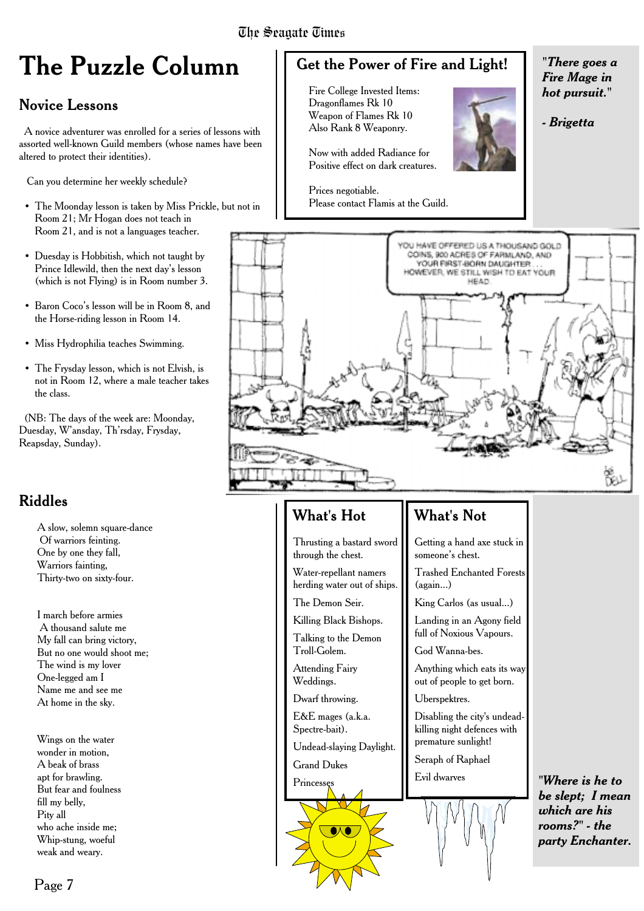# **The Puzzle Column**

### Novice Lessons

A novice adventurer was enrolled for a series of lessons with assorted well-known Guild members (whose names have been altered to protect their identities).

Can you determine her weekly schedule?

- The Moonday lesson is taken by Miss Prickle, but not in Room 21; Mr Hogan does not teach in Room 21, and is not a languages teacher.
- Duesday is Hobbitish, which not taught by Prince Idlewild, then the next day's lesson (which is not Flying) is in Room number 3.
- Baron Coco's lesson will be in Room 8, and the Horse-riding lesson in Room 14.
- Miss Hydrophilia teaches Swimming.
- The Frysday lesson, which is not Elvish, is not in Room 12, where a male teacher takes the class.

(NB: The days of the week are: Moonday, Duesday, W'ansday, Th'rsday, Frysday, Reapsday, Sunday).

### Riddles

A slow, solemn square-dance Of warriors feinting. One by one they fall, Warriors fainting, Thirty-two on sixty-four.

I march before armies A thousand salute me My fall can bring victory, But no one would shoot me; The wind is my lover One-legged am I Name me and see me At home in the sky.

Wings on the water wonder in motion, A beak of brass apt for brawling. But fear and foulness fill my belly, Pity all who ache inside me; Whip-stung, woeful weak and weary.

# Get the Power of Fire and Light!

Fire College Invested Items: Dragonflames Rk 10 Weapon of Flames Rk 10 Also Rank 8 Weaponry.

Now with added Radiance for Positive effect on dark creatures.

Prices negotiable. Please contact Flamis at the Guild.

*"There goes a Fire Mage in hot pursuit."*

*- Brigetta*



#### What's Hot

Thrusting a bastard sword through the chest.

Water-repellant namers herding water out of ships.

The Demon Seir.

Killing Black Bishops. Talking to the Demon

Troll-Golem. Attending Fairy Weddings.

Dwarf throwing.

E&E mages (a.k.a. Spectre-bait).

Undead-slaying Daylight.

Grand Dukes

Princesse

### What's Not

Getting a hand axe stuck in someone's chest.

Trashed Enchanted Forests (again...)

King Carlos (as usual...)

Landing in an Agony field full of Noxious Vapours.

God Wanna-bes.

Anything which eats its way out of people to get born.

Uberspektres.

Disabling the city's undeadkilling night defences with premature sunlight!

Seraph of Raphael Evil dwarves



*"Where is he to be slept; I mean which are his rooms?" - the party Enchanter.*